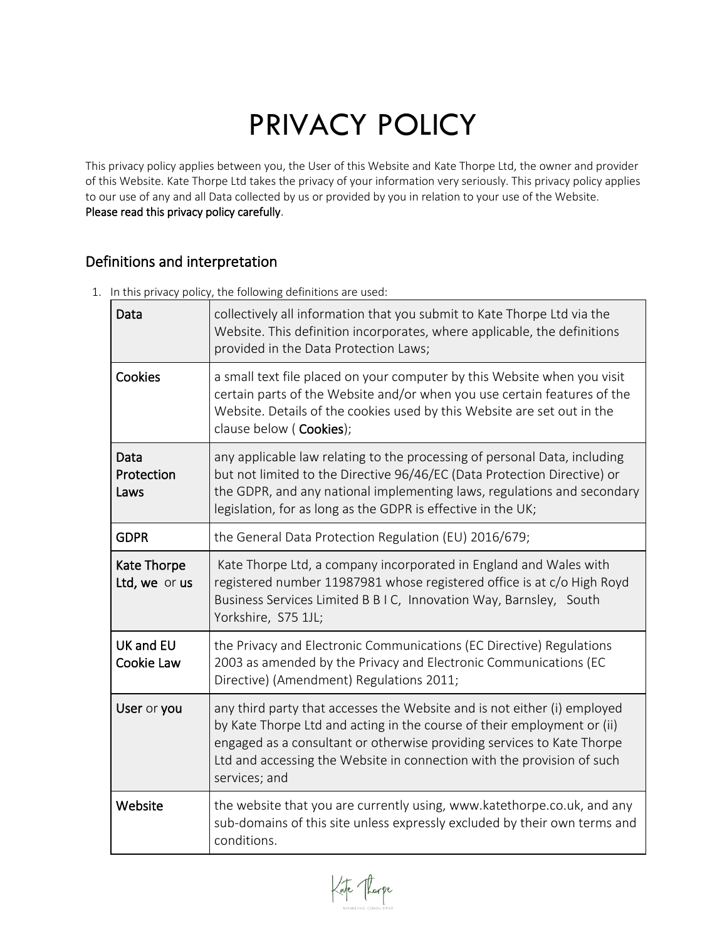# PRIVACY POLICY

This privacy policy applies between you, the User of this Website and Kate Thorpe Ltd, the owner and provider of this Website. Kate Thorpe Ltd takes the privacy of your information very seriously. This privacy policy applies to our use of any and all Data collected by us or provided by you in relation to your use of the Website. Please read this privacy policy carefully.

## Definitions and interpretation

|                                | if this privacy policy, the following achilitions are asea.                                                                                                                                                                                                                                                              |  |
|--------------------------------|--------------------------------------------------------------------------------------------------------------------------------------------------------------------------------------------------------------------------------------------------------------------------------------------------------------------------|--|
| Data                           | collectively all information that you submit to Kate Thorpe Ltd via the<br>Website. This definition incorporates, where applicable, the definitions<br>provided in the Data Protection Laws;                                                                                                                             |  |
| Cookies                        | a small text file placed on your computer by this Website when you visit<br>certain parts of the Website and/or when you use certain features of the<br>Website. Details of the cookies used by this Website are set out in the<br>clause below (Cookies);                                                               |  |
| Data<br>Protection<br>Laws     | any applicable law relating to the processing of personal Data, including<br>but not limited to the Directive 96/46/EC (Data Protection Directive) or<br>the GDPR, and any national implementing laws, regulations and secondary<br>legislation, for as long as the GDPR is effective in the UK;                         |  |
| <b>GDPR</b>                    | the General Data Protection Regulation (EU) 2016/679;                                                                                                                                                                                                                                                                    |  |
| Kate Thorpe<br>Ltd, we or us   | Kate Thorpe Ltd, a company incorporated in England and Wales with<br>registered number 11987981 whose registered office is at c/o High Royd<br>Business Services Limited B B I C, Innovation Way, Barnsley, South<br>Yorkshire, S75 1JL;                                                                                 |  |
| <b>UK and EU</b><br>Cookie Law | the Privacy and Electronic Communications (EC Directive) Regulations<br>2003 as amended by the Privacy and Electronic Communications (EC<br>Directive) (Amendment) Regulations 2011;                                                                                                                                     |  |
| User or you                    | any third party that accesses the Website and is not either (i) employed<br>by Kate Thorpe Ltd and acting in the course of their employment or (ii)<br>engaged as a consultant or otherwise providing services to Kate Thorpe<br>Ltd and accessing the Website in connection with the provision of such<br>services; and |  |
| Website                        | the website that you are currently using, www.katethorpe.co.uk, and any<br>sub-domains of this site unless expressly excluded by their own terms and<br>conditions.                                                                                                                                                      |  |
|                                |                                                                                                                                                                                                                                                                                                                          |  |

1. In this privacy policy, the following definitions are used:

de Thorpe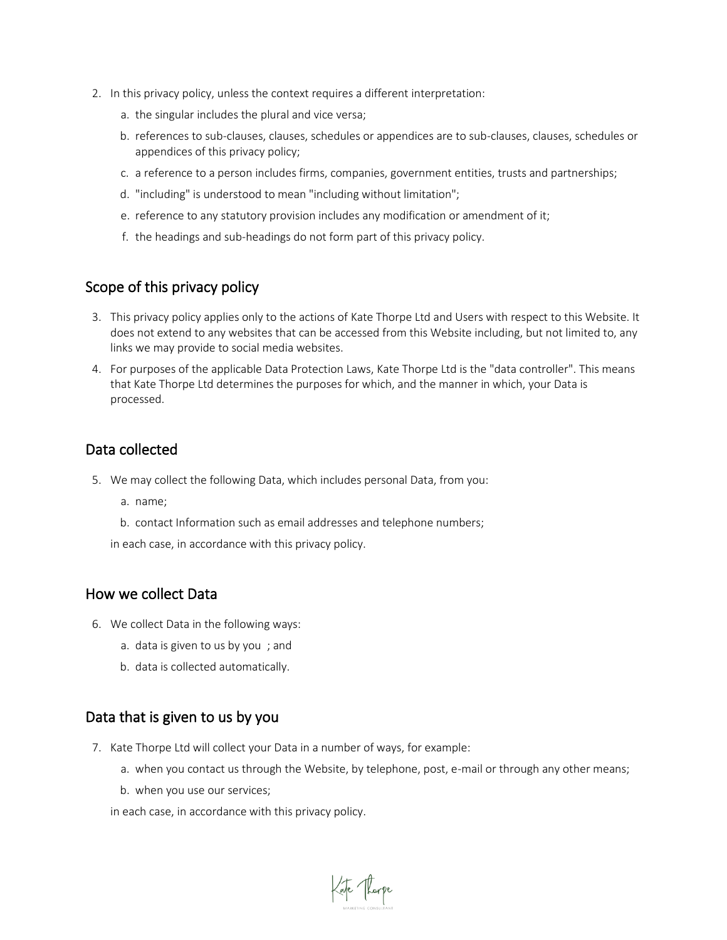- 2. In this privacy policy, unless the context requires a different interpretation:
	- a. the singular includes the plural and vice versa;
	- b. references to sub-clauses, clauses, schedules or appendices are to sub-clauses, clauses, schedules or appendices of this privacy policy;
	- c. a reference to a person includes firms, companies, government entities, trusts and partnerships;
	- d. "including" is understood to mean "including without limitation";
	- e. reference to any statutory provision includes any modification or amendment of it;
	- f. the headings and sub-headings do not form part of this privacy policy.

#### Scope of this privacy policy

- 3. This privacy policy applies only to the actions of Kate Thorpe Ltd and Users with respect to this Website. It does not extend to any websites that can be accessed from this Website including, but not limited to, any links we may provide to social media websites.
- 4. For purposes of the applicable Data Protection Laws, Kate Thorpe Ltd is the "data controller". This means that Kate Thorpe Ltd determines the purposes for which, and the manner in which, your Data is processed.

#### Data collected

- 5. We may collect the following Data, which includes personal Data, from you:
	- a. name;
	- b. contact Information such as email addresses and telephone numbers;

in each case, in accordance with this privacy policy.

#### How we collect Data

- 6. We collect Data in the following ways:
	- a. data is given to us by you ; and
	- b. data is collected automatically.

## Data that is given to us by you

- 7. Kate Thorpe Ltd will collect your Data in a number of ways, for example:
	- a. when you contact us through the Website, by telephone, post, e-mail or through any other means;

de Thorpe

b. when you use our services;

in each case, in accordance with this privacy policy.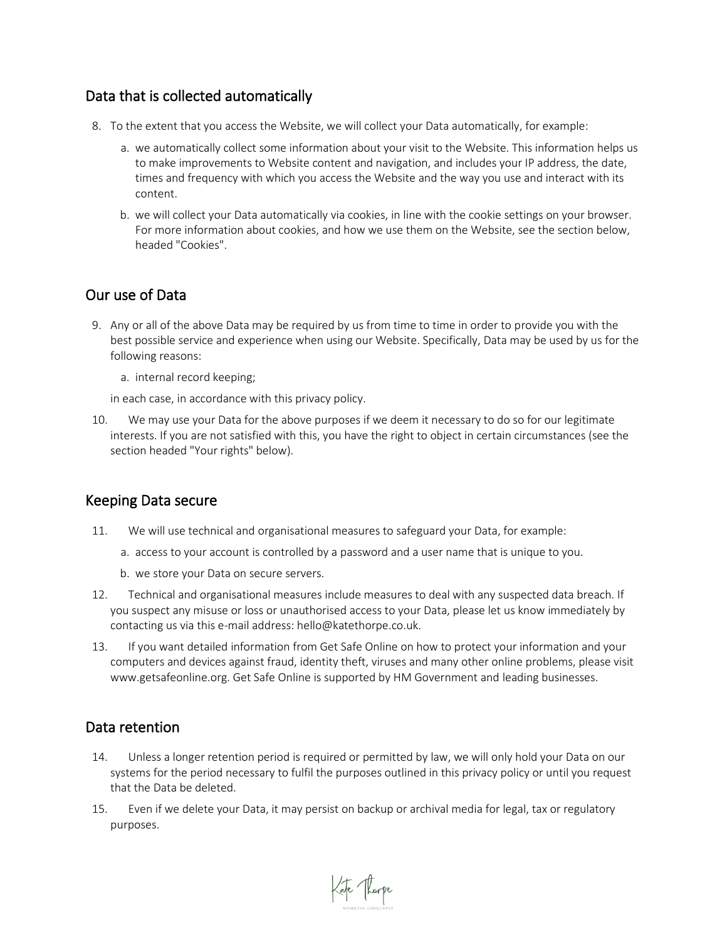## Data that is collected automatically

- 8. To the extent that you access the Website, we will collect your Data automatically, for example:
	- a. we automatically collect some information about your visit to the Website. This information helps us to make improvements to Website content and navigation, and includes your IP address, the date, times and frequency with which you access the Website and the way you use and interact with its content.
	- b. we will collect your Data automatically via cookies, in line with the cookie settings on your browser. For more information about cookies, and how we use them on the Website, see the section below, headed "Cookies".

## Our use of Data

- 9. Any or all of the above Data may be required by us from time to time in order to provide you with the best possible service and experience when using our Website. Specifically, Data may be used by us for the following reasons:
	- a. internal record keeping;

in each case, in accordance with this privacy policy.

10. We may use your Data for the above purposes if we deem it necessary to do so for our legitimate interests. If you are not satisfied with this, you have the right to object in certain circumstances (see the section headed "Your rights" below).

## Keeping Data secure

- 11. We will use technical and organisational measures to safeguard your Data, for example:
	- a. access to your account is controlled by a password and a user name that is unique to you.
	- b. we store your Data on secure servers.
- 12. Technical and organisational measures include measures to deal with any suspected data breach. If you suspect any misuse or loss or unauthorised access to your Data, please let us know immediately by contacting us via this e-mail address: hello@katethorpe.co.uk.
- 13. If you want detailed information from Get Safe Online on how to protect your information and your computers and devices against fraud, identity theft, viruses and many other online problems, please visit www.getsafeonline.org. Get Safe Online is supported by HM Government and leading businesses.

#### Data retention

- 14. Unless a longer retention period is required or permitted by law, we will only hold your Data on our systems for the period necessary to fulfil the purposes outlined in this privacy policy or until you request that the Data be deleted.
- 15. Even if we delete your Data, it may persist on backup or archival media for legal, tax or regulatory purposes.

Kate Thorpe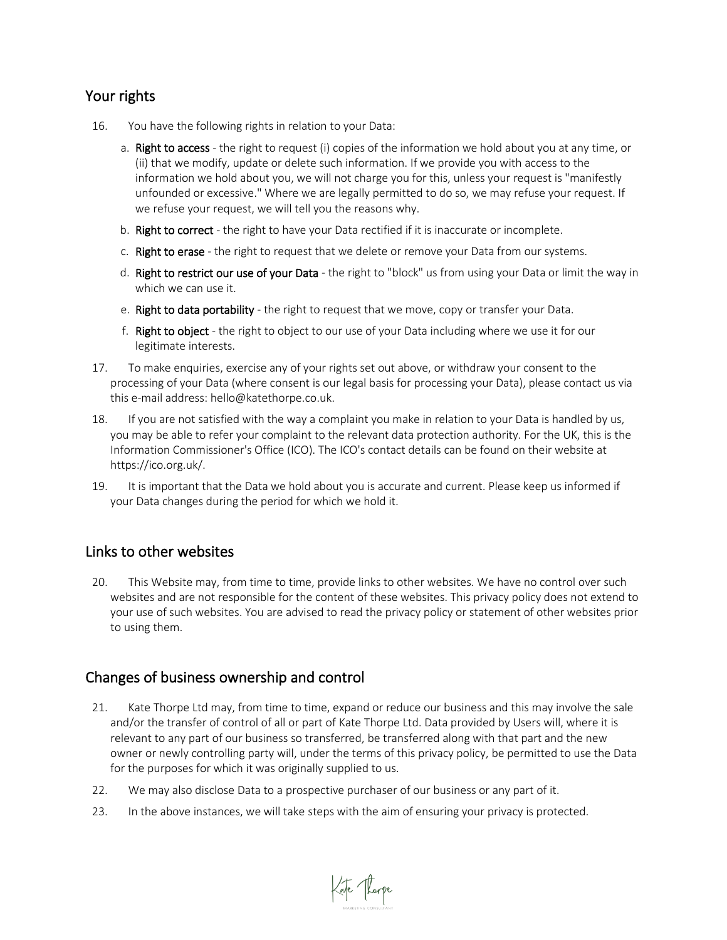## Your rights

- 16. You have the following rights in relation to your Data:
	- a. Right to access the right to request (i) copies of the information we hold about you at any time, or (ii) that we modify, update or delete such information. If we provide you with access to the information we hold about you, we will not charge you for this, unless your request is "manifestly unfounded or excessive." Where we are legally permitted to do so, we may refuse your request. If we refuse your request, we will tell you the reasons why.
	- b. Right to correct the right to have your Data rectified if it is inaccurate or incomplete.
	- c. Right to erase the right to request that we delete or remove your Data from our systems.
	- d. Right to restrict our use of your Data the right to "block" us from using your Data or limit the way in which we can use it.
	- e. Right to data portability the right to request that we move, copy or transfer your Data.
	- f. Right to object the right to object to our use of your Data including where we use it for our legitimate interests.
- 17. To make enquiries, exercise any of your rights set out above, or withdraw your consent to the processing of your Data (where consent is our legal basis for processing your Data), please contact us via this e-mail address: hello@katethorpe.co.uk.
- 18. If you are not satisfied with the way a complaint you make in relation to your Data is handled by us, you may be able to refer your complaint to the relevant data protection authority. For the UK, this is the Information Commissioner's Office (ICO). The ICO's contact details can be found on their website at https://ico.org.uk/.
- 19. It is important that the Data we hold about you is accurate and current. Please keep us informed if your Data changes during the period for which we hold it.

## Links to other websites

20. This Website may, from time to time, provide links to other websites. We have no control over such websites and are not responsible for the content of these websites. This privacy policy does not extend to your use of such websites. You are advised to read the privacy policy or statement of other websites prior to using them.

## Changes of business ownership and control

21. Kate Thorpe Ltd may, from time to time, expand or reduce our business and this may involve the sale and/or the transfer of control of all or part of Kate Thorpe Ltd. Data provided by Users will, where it is relevant to any part of our business so transferred, be transferred along with that part and the new owner or newly controlling party will, under the terms of this privacy policy, be permitted to use the Data for the purposes for which it was originally supplied to us.

Kate Thorpe

- 22. We may also disclose Data to a prospective purchaser of our business or any part of it.
- 23. In the above instances, we will take steps with the aim of ensuring your privacy is protected.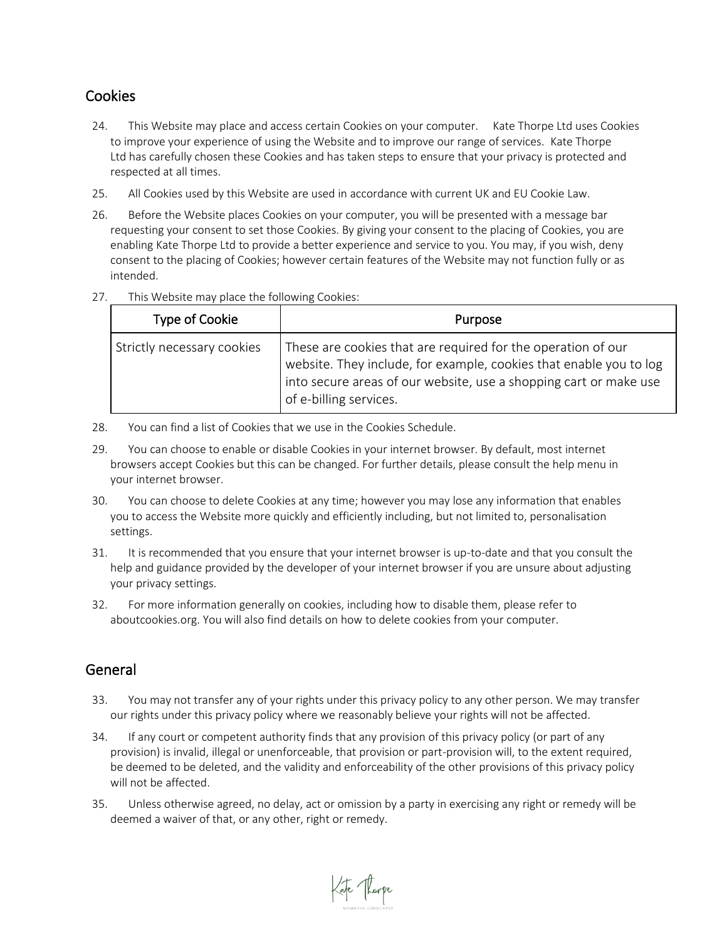## **Cookies**

- 24. This Website may place and access certain Cookies on your computer. Kate Thorpe Ltd uses Cookies to improve your experience of using the Website and to improve our range of services. Kate Thorpe Ltd has carefully chosen these Cookies and has taken steps to ensure that your privacy is protected and respected at all times.
- 25. All Cookies used by this Website are used in accordance with current UK and EU Cookie Law.
- 26. Before the Website places Cookies on your computer, you will be presented with a message bar requesting your consent to set those Cookies. By giving your consent to the placing of Cookies, you are enabling Kate Thorpe Ltd to provide a better experience and service to you. You may, if you wish, deny consent to the placing of Cookies; however certain features of the Website may not function fully or as intended.
- 27. This Website may place the following Cookies:

| Type of Cookie             | Purpose                                                                                                                                                                                                                           |
|----------------------------|-----------------------------------------------------------------------------------------------------------------------------------------------------------------------------------------------------------------------------------|
| Strictly necessary cookies | These are cookies that are required for the operation of our<br>website. They include, for example, cookies that enable you to log<br>into secure areas of our website, use a shopping cart or make use<br>of e-billing services. |

- 28. You can find a list of Cookies that we use in the Cookies Schedule.
- 29. You can choose to enable or disable Cookies in your internet browser. By default, most internet browsers accept Cookies but this can be changed. For further details, please consult the help menu in your internet browser.
- 30. You can choose to delete Cookies at any time; however you may lose any information that enables you to access the Website more quickly and efficiently including, but not limited to, personalisation settings.
- 31. It is recommended that you ensure that your internet browser is up-to-date and that you consult the help and guidance provided by the developer of your internet browser if you are unsure about adjusting your privacy settings.
- 32. For more information generally on cookies, including how to disable them, please refer to aboutcookies.org. You will also find details on how to delete cookies from your computer.

## General

- 33. You may not transfer any of your rights under this privacy policy to any other person. We may transfer our rights under this privacy policy where we reasonably believe your rights will not be affected.
- 34. If any court or competent authority finds that any provision of this privacy policy (or part of any provision) is invalid, illegal or unenforceable, that provision or part-provision will, to the extent required, be deemed to be deleted, and the validity and enforceability of the other provisions of this privacy policy will not be affected.
- 35. Unless otherwise agreed, no delay, act or omission by a party in exercising any right or remedy will be deemed a waiver of that, or any other, right or remedy.

de Thorpe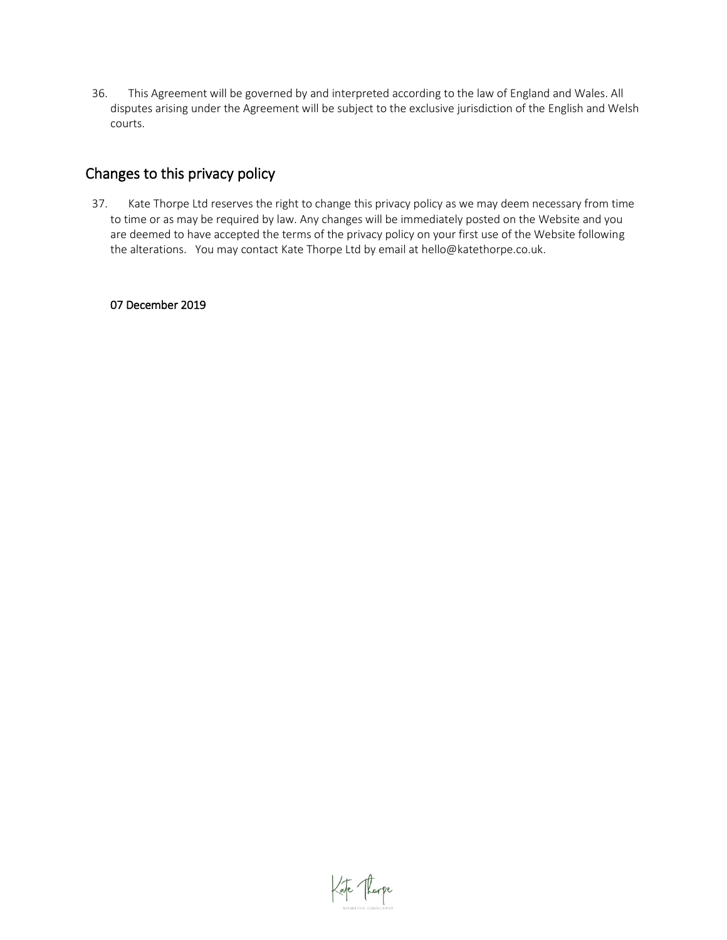36. This Agreement will be governed by and interpreted according to the law of England and Wales. All disputes arising under the Agreement will be subject to the exclusive jurisdiction of the English and Welsh courts.

## Changes to this privacy policy

37. Kate Thorpe Ltd reserves the right to change this privacy policy as we may deem necessary from time to time or as may be required by law. Any changes will be immediately posted on the Website and you are deemed to have accepted the terms of the privacy policy on your first use of the Website following the alterations. You may contact Kate Thorpe Ltd by email at hello@katethorpe.co.uk.

#### 07 December 2019